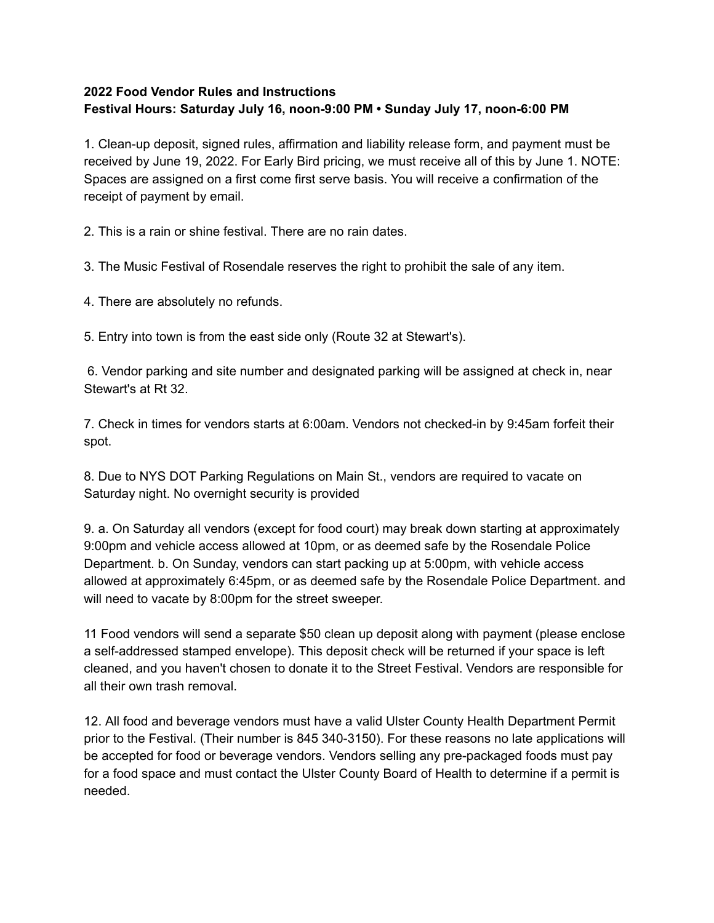## **2022 Food Vendor Rules and Instructions Festival Hours: Saturday July 16, noon-9:00 PM • Sunday July 17, noon-6:00 PM**

1. Clean-up deposit, signed rules, affirmation and liability release form, and payment must be received by June 19, 2022. For Early Bird pricing, we must receive all of this by June 1. NOTE: Spaces are assigned on a first come first serve basis. You will receive a confirmation of the receipt of payment by email.

2. This is a rain or shine festival. There are no rain dates.

3. The Music Festival of Rosendale reserves the right to prohibit the sale of any item.

4. There are absolutely no refunds.

5. Entry into town is from the east side only (Route 32 at Stewart's).

6. Vendor parking and site number and designated parking will be assigned at check in, near Stewart's at Rt 32.

7. Check in times for vendors starts at 6:00am. Vendors not checked-in by 9:45am forfeit their spot.

8. Due to NYS DOT Parking Regulations on Main St., vendors are required to vacate on Saturday night. No overnight security is provided

9. a. On Saturday all vendors (except for food court) may break down starting at approximately 9:00pm and vehicle access allowed at 10pm, or as deemed safe by the Rosendale Police Department. b. On Sunday, vendors can start packing up at 5:00pm, with vehicle access allowed at approximately 6:45pm, or as deemed safe by the Rosendale Police Department. and will need to vacate by 8:00pm for the street sweeper.

11 Food vendors will send a separate \$50 clean up deposit along with payment (please enclose a self-addressed stamped envelope). This deposit check will be returned if your space is left cleaned, and you haven't chosen to donate it to the Street Festival. Vendors are responsible for all their own trash removal.

12. All food and beverage vendors must have a valid Ulster County Health Department Permit prior to the Festival. (Their number is 845 340-3150). For these reasons no late applications will be accepted for food or beverage vendors. Vendors selling any pre-packaged foods must pay for a food space and must contact the Ulster County Board of Health to determine if a permit is needed.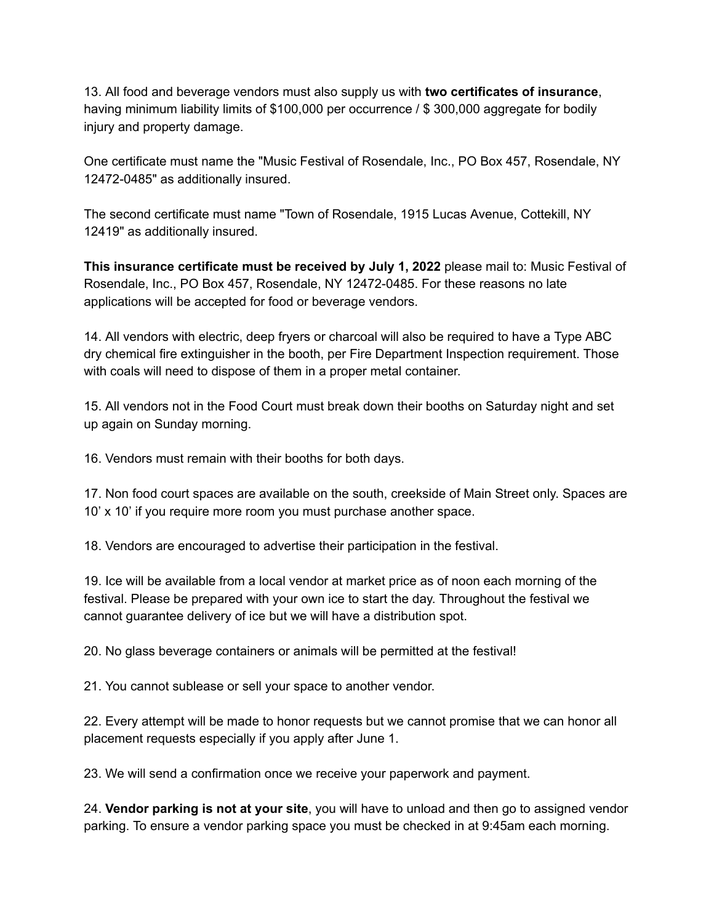13. All food and beverage vendors must also supply us with **two certificates of insurance**, having minimum liability limits of \$100,000 per occurrence / \$ 300,000 aggregate for bodily injury and property damage.

One certificate must name the "Music Festival of Rosendale, Inc., PO Box 457, Rosendale, NY 12472-0485" as additionally insured.

The second certificate must name "Town of Rosendale, 1915 Lucas Avenue, Cottekill, NY 12419" as additionally insured.

**This insurance certificate must be received by July 1, 2022** please mail to: Music Festival of Rosendale, Inc., PO Box 457, Rosendale, NY 12472-0485. For these reasons no late applications will be accepted for food or beverage vendors.

14. All vendors with electric, deep fryers or charcoal will also be required to have a Type ABC dry chemical fire extinguisher in the booth, per Fire Department Inspection requirement. Those with coals will need to dispose of them in a proper metal container.

15. All vendors not in the Food Court must break down their booths on Saturday night and set up again on Sunday morning.

16. Vendors must remain with their booths for both days.

17. Non food court spaces are available on the south, creekside of Main Street only. Spaces are 10' x 10' if you require more room you must purchase another space.

18. Vendors are encouraged to advertise their participation in the festival.

19. Ice will be available from a local vendor at market price as of noon each morning of the festival. Please be prepared with your own ice to start the day. Throughout the festival we cannot guarantee delivery of ice but we will have a distribution spot.

20. No glass beverage containers or animals will be permitted at the festival!

21. You cannot sublease or sell your space to another vendor.

22. Every attempt will be made to honor requests but we cannot promise that we can honor all placement requests especially if you apply after June 1.

23. We will send a confirmation once we receive your paperwork and payment.

24. **Vendor parking is not at your site**, you will have to unload and then go to assigned vendor parking. To ensure a vendor parking space you must be checked in at 9:45am each morning.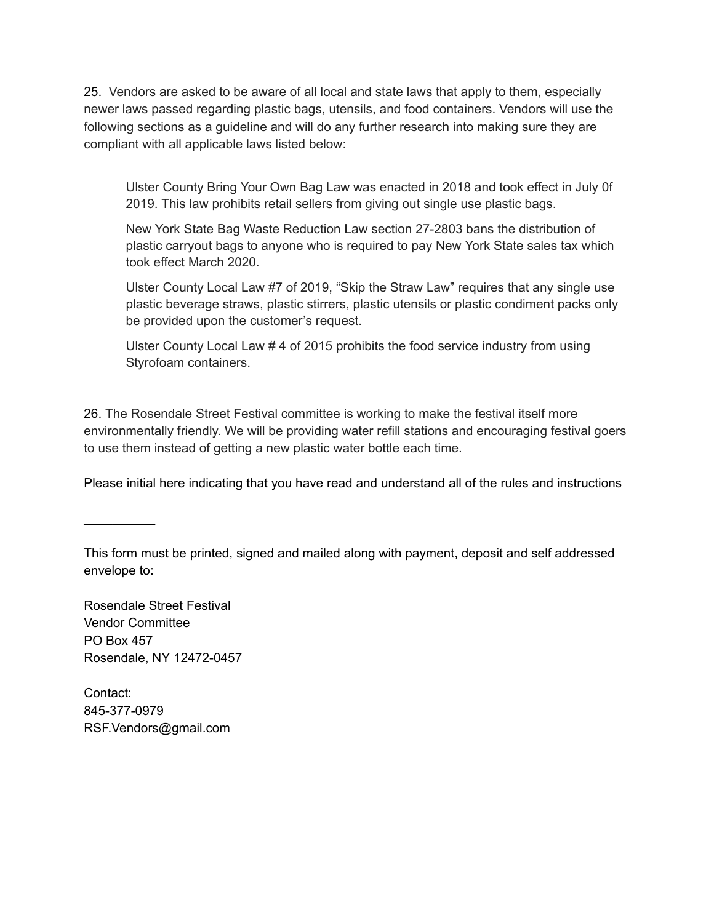25. Vendors are asked to be aware of all local and state laws that apply to them, especially newer laws passed regarding plastic bags, utensils, and food containers. Vendors will use the following sections as a guideline and will do any further research into making sure they are compliant with all applicable laws listed below:

Ulster County Bring Your Own Bag Law was enacted in 2018 and took effect in July 0f 2019. This law prohibits retail sellers from giving out single use plastic bags.

New York State Bag Waste Reduction Law section 27-2803 bans the distribution of plastic carryout bags to anyone who is required to pay New York State sales tax which took effect March 2020.

Ulster County Local Law #7 of 2019, "Skip the Straw Law" requires that any single use plastic beverage straws, plastic stirrers, plastic utensils or plastic condiment packs only be provided upon the customer's request.

Ulster County Local Law # 4 of 2015 prohibits the food service industry from using Styrofoam containers.

26. The Rosendale Street Festival committee is working to make the festival itself more environmentally friendly. We will be providing water refill stations and encouraging festival goers to use them instead of getting a new plastic water bottle each time.

Please initial here indicating that you have read and understand all of the rules and instructions

 $\frac{1}{2}$ 

This form must be printed, signed and mailed along with payment, deposit and self addressed envelope to:

Rosendale Street Festival Vendor Committee PO Box 457 Rosendale, NY 12472-0457

Contact: 845-377-0979 RSF.Vendors@gmail.com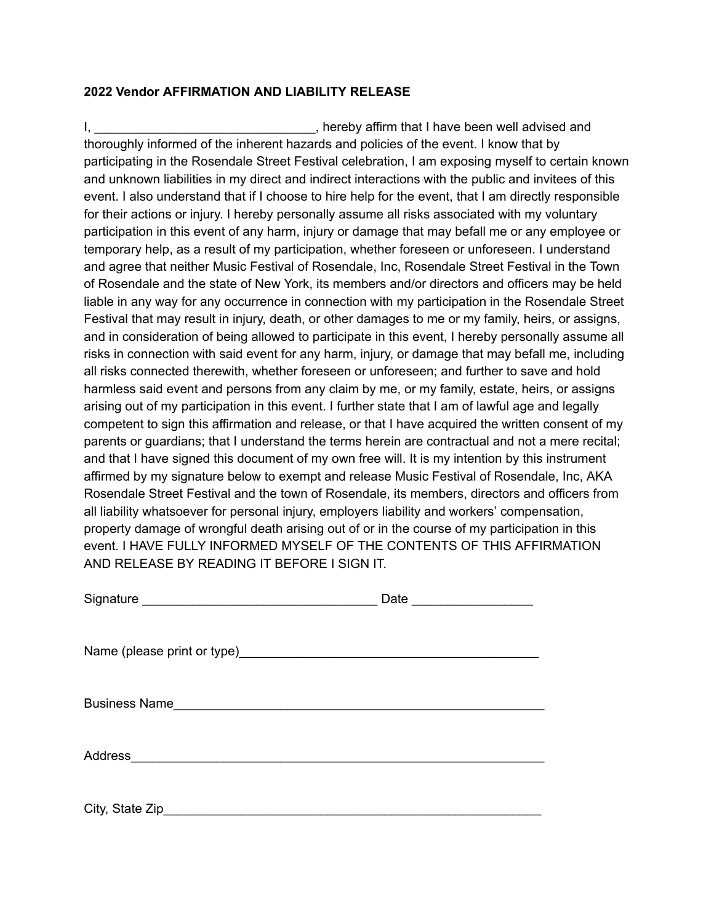## **2022 Vendor AFFIRMATION AND LIABILITY RELEASE**

I, Letting the state of the state of the state of the state of the state of the state of the state of the state of the state of the state of the state of the state of the state of the state of the state of the state of the thoroughly informed of the inherent hazards and policies of the event. I know that by participating in the Rosendale Street Festival celebration, I am exposing myself to certain known and unknown liabilities in my direct and indirect interactions with the public and invitees of this event. I also understand that if I choose to hire help for the event, that I am directly responsible for their actions or injury. I hereby personally assume all risks associated with my voluntary participation in this event of any harm, injury or damage that may befall me or any employee or temporary help, as a result of my participation, whether foreseen or unforeseen. I understand and agree that neither Music Festival of Rosendale, Inc, Rosendale Street Festival in the Town of Rosendale and the state of New York, its members and/or directors and officers may be held liable in any way for any occurrence in connection with my participation in the Rosendale Street Festival that may result in injury, death, or other damages to me or my family, heirs, or assigns, and in consideration of being allowed to participate in this event, I hereby personally assume all risks in connection with said event for any harm, injury, or damage that may befall me, including all risks connected therewith, whether foreseen or unforeseen; and further to save and hold harmless said event and persons from any claim by me, or my family, estate, heirs, or assigns arising out of my participation in this event. I further state that I am of lawful age and legally competent to sign this affirmation and release, or that I have acquired the written consent of my parents or guardians; that I understand the terms herein are contractual and not a mere recital; and that I have signed this document of my own free will. It is my intention by this instrument affirmed by my signature below to exempt and release Music Festival of Rosendale, Inc, AKA Rosendale Street Festival and the town of Rosendale, its members, directors and officers from all liability whatsoever for personal injury, employers liability and workers' compensation, property damage of wrongful death arising out of or in the course of my participation in this event. I HAVE FULLY INFORMED MYSELF OF THE CONTENTS OF THIS AFFIRMATION AND RELEASE BY READING IT BEFORE I SIGN IT.

| Signature __________________________________ | Date _______________ |  |
|----------------------------------------------|----------------------|--|
|                                              |                      |  |
|                                              |                      |  |
|                                              |                      |  |
| City, State Zip                              |                      |  |